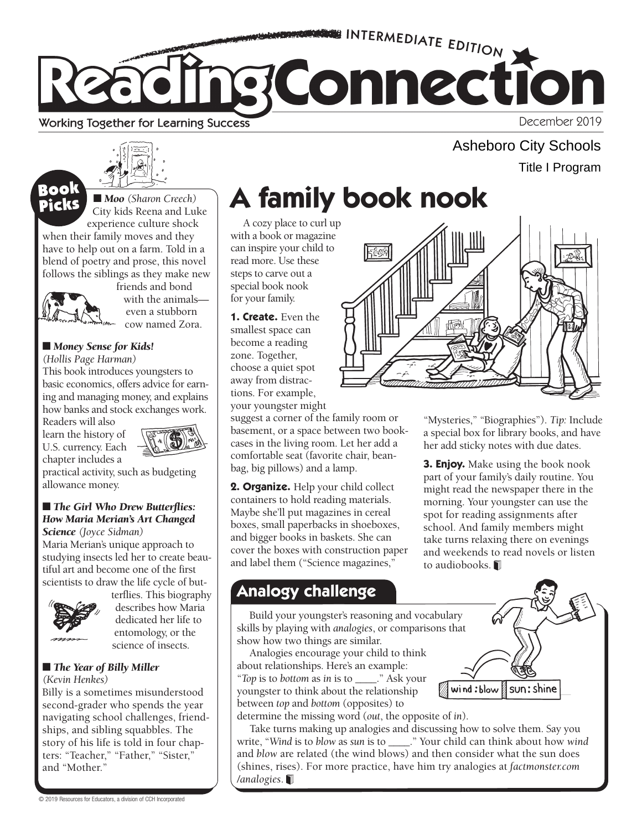

#### Working Together for Learning Success

December 2019

Title I Program

Asheboro City Schools



■ *Moo* (Sharon Creech) City kids Reena and Luke experience culture shock

when their family moves and they have to help out on a farm. Told in a blend of poetry and prose, this novel follows the siblings as they make new



Book

friends and bond with the animals even a stubborn cow named Zora.

### ■ *Money Sense for Kids!*

*(Hollis Page Harman)* 

This book introduces youngsters to basic economics, offers advice for earning and managing money, and explains how banks and stock exchanges work.

Readers will also learn the history of U.S. currency. Each chapter includes a



practical activity, such as budgeting allowance money.

#### ■ *The Girl Who Drew Butterflies: How Maria Merian's Art Changed Science (Joyce Sidman)*

Maria Merian's unique approach to studying insects led her to create beautiful art and become one of the first scientists to draw the life cycle of but-



terflies. This biography describes how Maria dedicated her life to entomology, or the science of insects.

### ■ *The Year of Billy Miller*

*(Kevin Henkes)* 

Billy is a sometimes misunderstood second-grader who spends the year navigating school challenges, friendships, and sibling squabbles. The story of his life is told in four chapters: "Teacher," "Father," "Sister," and "Mother."

# **BOOK**  $\overline{\text{HMO}}$  (Sharon Creech) **A family book nook**

A cozy place to curl up with a book or magazine can inspire your child to read more. Use these steps to carve out a special book nook for your family.

**1. Create.** Even the smallest space can become a reading zone. Together, choose a quiet spot away from distractions. For example, your youngster might

suggest a corner of the family room or basement, or a space between two bookcases in the living room. Let her add a comfortable seat (favorite chair, beanbag, big pillows) and a lamp.

**2. Organize.** Help your child collect containers to hold reading materials. Maybe she'll put magazines in cereal boxes, small paperbacks in shoeboxes, and bigger books in baskets. She can cover the boxes with construction paper and label them ("Science magazines,"

## **Analogy challenge**

Build your youngster's reasoning and vocabulary skills by playing with *analogies*, or comparisons that show how two things are similar.

Analogies encourage your child to think about relationships. Here's an example: "*Top* is to *bottom* as *in* is to \_\_\_\_." Ask your youngster to think about the relationship between *top* and *bottom* (opposites) to determine the missing word (*out*, the opposite of *in*).

sun: shine wind:blow

Take turns making up analogies and discussing how to solve them. Say you write, "*Wind* is to *blow* as *sun* is to \_\_\_\_." Your child can think about how *wind*  and *blow* are related (the wind blows) and then consider what the sun does (shines, rises). For more practice, have him try analogies at *factmonster.com /analogies*.

"Mysteries," "Biographies"). *Tip:* Include a special box for library books, and have her add sticky notes with due dates.

**3. Enjoy.** Make using the book nook part of your family's daily routine. You might read the newspaper there in the morning. Your youngster can use the spot for reading assignments after school. And family members might take turns relaxing there on evenings and weekends to read novels or listen to audiobooks.